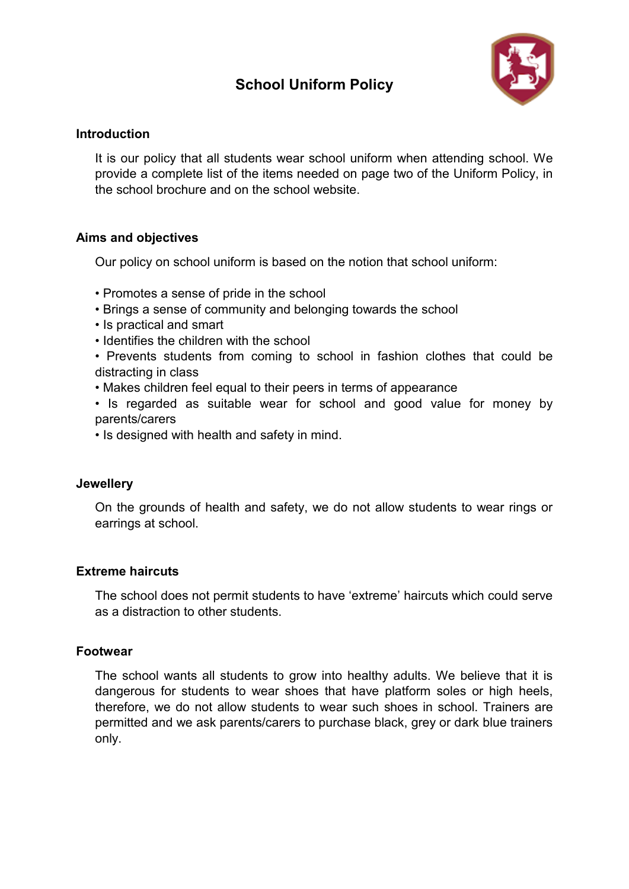# **School Uniform Policy**



# **Introduction**

It is our policy that all students wear school uniform when attending school. We provide a complete list of the items needed on page two of the Uniform Policy, in the school brochure and on the school website.

## **Aims and objectives**

Our policy on school uniform is based on the notion that school uniform:

- Promotes a sense of pride in the school
- Brings a sense of community and belonging towards the school
- Is practical and smart
- Identifies the children with the school

• Prevents students from coming to school in fashion clothes that could be distracting in class

- Makes children feel equal to their peers in terms of appearance
- Is regarded as suitable wear for school and good value for money by parents/carers
- Is designed with health and safety in mind.

### **Jewellery**

On the grounds of health and safety, we do not allow students to wear rings or earrings at school.

# **Extreme haircuts**

The school does not permit students to have 'extreme' haircuts which could serve as a distraction to other students.

### **Footwear**

The school wants all students to grow into healthy adults. We believe that it is dangerous for students to wear shoes that have platform soles or high heels, therefore, we do not allow students to wear such shoes in school. Trainers are permitted and we ask parents/carers to purchase black, grey or dark blue trainers only.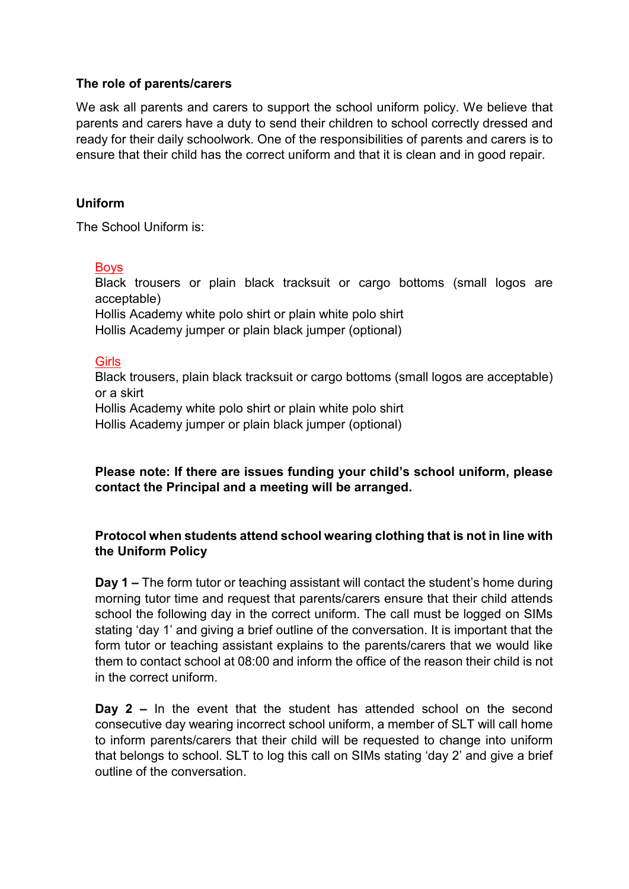## **The role of parents/carers**

We ask all parents and carers to support the school uniform policy. We believe that parents and carers have a duty to send their children to school correctly dressed and ready for their daily schoolwork. One of the responsibilities of parents and carers is to ensure that their child has the correct uniform and that it is clean and in good repair.

## **Uniform**

The School Uniform is:

### Boys

Black trousers or plain black tracksuit or cargo bottoms (small logos are acceptable)

Hollis Academy white polo shirt or plain white polo shirt Hollis Academy jumper or plain black jumper (optional)

### **Girls**

Black trousers, plain black tracksuit or cargo bottoms (small logos are acceptable) or a skirt Hollis Academy white polo shirt or plain white polo shirt

Hollis Academy jumper or plain black jumper (optional)

**Please note: If there are issues funding your child's school uniform, please contact the Principal and a meeting will be arranged.**

# **Protocol when students attend school wearing clothing that is not in line with the Uniform Policy**

**Day 1 –** The form tutor or teaching assistant will contact the student's home during morning tutor time and request that parents/carers ensure that their child attends school the following day in the correct uniform. The call must be logged on SIMs stating 'day 1' and giving a brief outline of the conversation. It is important that the form tutor or teaching assistant explains to the parents/carers that we would like them to contact school at 08:00 and inform the office of the reason their child is not in the correct uniform.

**Day 2 –** In the event that the student has attended school on the second consecutive day wearing incorrect school uniform, a member of SLT will call home to inform parents/carers that their child will be requested to change into uniform that belongs to school. SLT to log this call on SIMs stating 'day 2' and give a brief outline of the conversation.